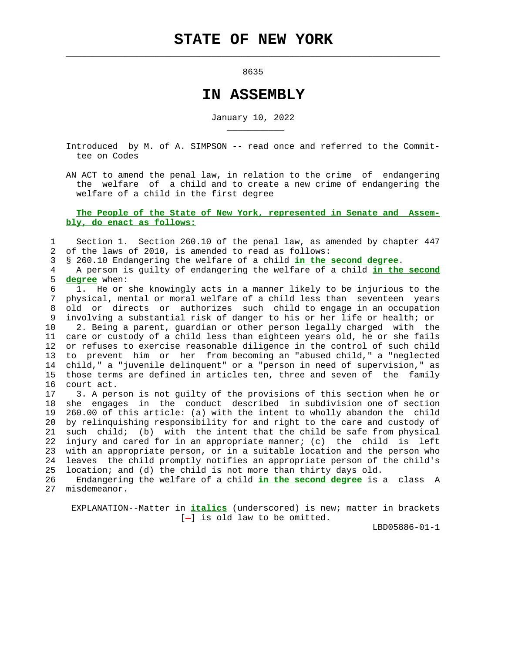<u>8635</u>

 $\mathcal{L}_\text{max} = \frac{1}{2} \sum_{i=1}^{n} \frac{1}{2} \sum_{i=1}^{n} \frac{1}{2} \sum_{i=1}^{n} \frac{1}{2} \sum_{i=1}^{n} \frac{1}{2} \sum_{i=1}^{n} \frac{1}{2} \sum_{i=1}^{n} \frac{1}{2} \sum_{i=1}^{n} \frac{1}{2} \sum_{i=1}^{n} \frac{1}{2} \sum_{i=1}^{n} \frac{1}{2} \sum_{i=1}^{n} \frac{1}{2} \sum_{i=1}^{n} \frac{1}{2} \sum_{i=1}^{n} \frac{1$ 

\_\_\_\_\_\_\_\_\_\_\_

## **IN ASSEMBLY**

January 10, 2022

 Introduced by M. of A. SIMPSON -- read once and referred to the Commit tee on Codes

 AN ACT to amend the penal law, in relation to the crime of endangering the welfare of a child and to create a new crime of endangering the welfare of a child in the first degree

 **The People of the State of New York, represented in Senate and Assem bly, do enact as follows:**

 1 Section 1. Section 260.10 of the penal law, as amended by chapter 447 2 of the laws of 2010, is amended to read as follows:

3 § 260.10 Endangering the welfare of a child **in the second degree**.

 4 A person is guilty of endangering the welfare of a child **in the second** 5 **degree** when:

 6 1. He or she knowingly acts in a manner likely to be injurious to the 7 physical, mental or moral welfare of a child less than seventeen years 8 old or directs or authorizes such child to engage in an occupation 9 involving a substantial risk of danger to his or her life or health; or

 10 2. Being a parent, guardian or other person legally charged with the 11 care or custody of a child less than eighteen years old, he or she fails 12 or refuses to exercise reasonable diligence in the control of such child 13 to prevent him or her from becoming an "abused child," a "neglected 14 child," a "juvenile delinquent" or a "person in need of supervision," as 15 those terms are defined in articles ten, three and seven of the family 16 court act.

 17 3. A person is not guilty of the provisions of this section when he or 18 she engages in the conduct described in subdivision one of section 19 260.00 of this article: (a) with the intent to wholly abandon the child 20 by relinquishing responsibility for and right to the care and custody of 21 such child; (b) with the intent that the child be safe from physical 22 injury and cared for in an appropriate manner; (c) the child is left 23 with an appropriate person, or in a suitable location and the person who 24 leaves the child promptly notifies an appropriate person of the child's 25 location; and (d) the child is not more than thirty days old.

 26 Endangering the welfare of a child **in the second degree** is a class A 27 misdemeanor.

 EXPLANATION--Matter in **italics** (underscored) is new; matter in brackets  $[-]$  is old law to be omitted.

LBD05886-01-1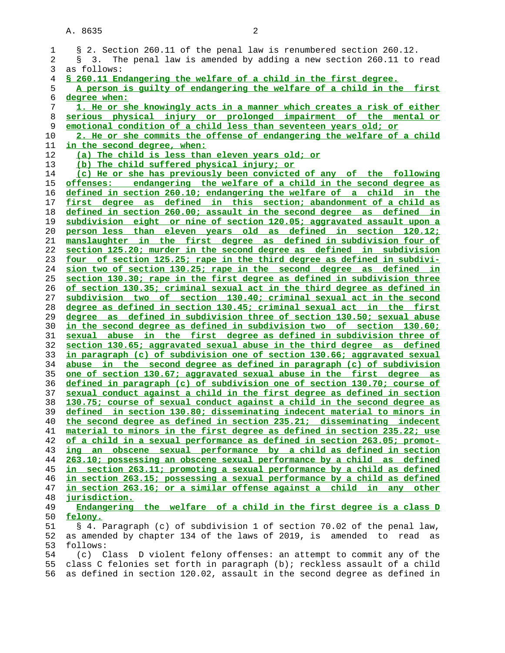| 1        | § 2. Section 260.11 of the penal law is renumbered section 260.12.        |
|----------|---------------------------------------------------------------------------|
| 2        | § 3. The penal law is amended by adding a new section 260.11 to read      |
| 3        | as follows:                                                               |
| 4        | \$ 260.11 Endangering the welfare of a child in the first degree.         |
| 5        | A person is quilty of endangering the welfare of a child in the first     |
| 6        | degree when:                                                              |
| 7        | 1. He or she knowingly acts in a manner which creates a risk of either    |
| 8        | serious physical injury or prolonged impairment of the mental or          |
| 9        | emotional condition of a child less than seventeen years old; or          |
| 10       | 2. He or she commits the offense of endangering the welfare of a child    |
| 11       | in the second degree, when:                                               |
| 12       | (a) The child is less than eleven years old; or                           |
| 13       | (b) The child suffered physical injury; or                                |
| 14       | (c) He or she has previously been convicted of any of the following       |
| 15       | offenses: endangering the welfare of a child in the second degree as      |
| 16       | defined in section 260.10; endangering the welfare of a child in the      |
| 17       | first degree as defined in this section; abandonment of a child as        |
| 18       | defined in section 260.00; assault in the second degree as defined in     |
| 19       | subdivision eight or nine of section 120.05; aggravated assault upon a    |
| 20       | person less than eleven years old as defined in section 120.12;           |
| 21       | manslaughter in the first degree as defined in subdivision four of        |
| 22       | section 125.20; murder in the second degree as defined in subdivision     |
| 23       | four of section 125.25; rape in the third degree as defined in subdivi-   |
| 24       | sion two of section 130.25; rape in the second degree as defined in       |
|          |                                                                           |
| 25       | section 130.30; rape in the first degree as defined in subdivision three  |
| 26       | of section 130.35; criminal sexual act in the third degree as defined in  |
| 27       | subdivision two of section 130.40; criminal sexual act in the second      |
| 28       | degree as defined in section 130.45; criminal sexual act in the first     |
| 29       | degree as defined in subdivision three of section 130.50; sexual abuse    |
| 30       | in the second degree as defined in subdivision two of section 130.60;     |
| 31       | abuse in the first degree as defined in subdivision three of<br>sexual    |
| 32       | section 130.65; aggravated sexual abuse in the third degree as defined    |
| 33       | in paragraph (c) of subdivision one of section 130.66; aggravated sexual  |
| 34       | abuse in the second degree as defined in paragraph (c) of subdivision     |
| 35       | one of section 130.67; aggravated sexual abuse in the first degree as     |
| 36       | defined in paragraph (c) of subdivision one of section 130.70; course of  |
| 37       | sexual conduct against a child in the first degree as defined in section  |
| 38       | 130.75; course of sexual conduct against a child in the second degree as  |
| 39       | defined in section 130.80; disseminating indecent material to minors in   |
| 40       | the second degree as defined in section 235.21; disseminating indecent    |
| 41       | material to minors in the first degree as defined in section 235.22; use  |
| 42       | of a child in a sexual performance as defined in section 263.05; promot-  |
| 43       | ing an obscene sexual performance by a child as defined in section        |
| 44       | 263.10; possessing an obscene sexual performance by a child as<br>defined |
| 45       | in section 263.11; promoting a sexual performance by a child as defined   |
| 46       | in section 263.15; possessing a sexual performance by a child as defined  |
| 47       | in section 263.16; or a similar offense against a child in any other      |
| 48<br>49 | jurisdiction.                                                             |
| 50       | Endangering the welfare of a child in the first degree is a class D       |
|          | felony.                                                                   |
| 51       | § 4. Paragraph (c) of subdivision 1 of section 70.02 of the penal law,    |
| 52       | as amended by chapter 134 of the laws of 2019, is amended to read as      |
| 53       | follows:                                                                  |
| 54       | (c) Class D violent felony offenses: an attempt to commit any of the      |
| 55       | class C felonies set forth in paragraph (b); reckless assault of a child  |
| 56       | as defined in section 120.02, assault in the second degree as defined in  |